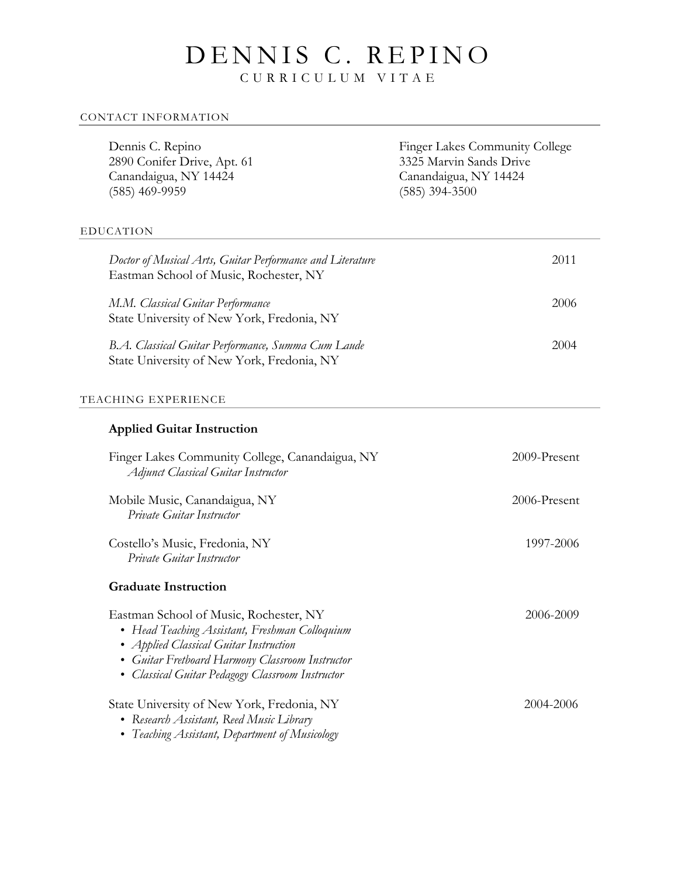# DENNIS C. REPINO

C URRICULUM VITAE

#### CONTACT INFORMATION

| Dennis C. Repino<br>2890 Conifer Drive, Apt. 61<br>Canandaigua, NY 14424<br>$(585)$ 469-9959                                                                                                                                                  | <b>Finger Lakes Community College</b><br>3325 Marvin Sands Drive<br>Canandaigua, NY 14424<br>$(585)$ 394-3500 |
|-----------------------------------------------------------------------------------------------------------------------------------------------------------------------------------------------------------------------------------------------|---------------------------------------------------------------------------------------------------------------|
| <b>EDUCATION</b>                                                                                                                                                                                                                              |                                                                                                               |
| Doctor of Musical Arts, Guitar Performance and Literature<br>Eastman School of Music, Rochester, NY                                                                                                                                           | 2011                                                                                                          |
| M.M. Classical Guitar Performance<br>State University of New York, Fredonia, NY                                                                                                                                                               | 2006                                                                                                          |
| B.A. Classical Guitar Performance, Summa Cum Laude<br>State University of New York, Fredonia, NY                                                                                                                                              | 2004                                                                                                          |
| TEACHING EXPERIENCE                                                                                                                                                                                                                           |                                                                                                               |
| <b>Applied Guitar Instruction</b>                                                                                                                                                                                                             |                                                                                                               |
| Finger Lakes Community College, Canandaigua, NY<br><b>Adjunct Classical Guitar Instructor</b>                                                                                                                                                 | 2009-Present                                                                                                  |
| Mobile Music, Canandaigua, NY<br>Private Guitar Instructor                                                                                                                                                                                    | 2006-Present                                                                                                  |
| Costello's Music, Fredonia, NY<br>Private Guitar Instructor                                                                                                                                                                                   | 1997-2006                                                                                                     |
| <b>Graduate Instruction</b>                                                                                                                                                                                                                   |                                                                                                               |
| Eastman School of Music, Rochester, NY<br>Head Teaching Assistant, Freshman Colloquium<br><b>Applied Classical Guitar Instruction</b><br>Guitar Fretboard Harmony Classroom Instructor<br>Classical Guitar Pedagogy Classroom Instructor<br>٠ | 2006-2009                                                                                                     |
| State University of New York, Fredonia, NY<br>• Research Assistant, Reed Music Library<br>• Teaching Assistant, Department of Musicology                                                                                                      | 2004-2006                                                                                                     |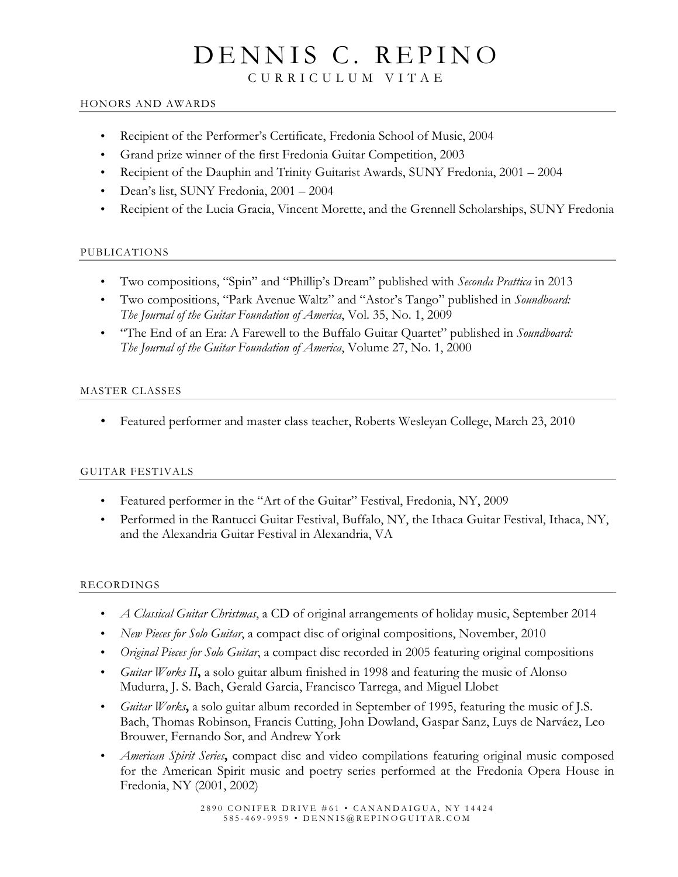# DENNIS C. REPINO

C URRICULUM VITAE

#### HONORS AND AWARDS

- Recipient of the Performer's Certificate, Fredonia School of Music, 2004
- Grand prize winner of the first Fredonia Guitar Competition, 2003
- Recipient of the Dauphin and Trinity Guitarist Awards, SUNY Fredonia, 2001 2004
- Dean's list, SUNY Fredonia, 2001 2004
- Recipient of the Lucia Gracia, Vincent Morette, and the Grennell Scholarships, SUNY Fredonia

### PUBLICATIONS

- Two compositions, "Spin" and "Phillip's Dream" published with *Seconda Prattica* in 2013
- Two compositions, "Park Avenue Waltz" and "Astor's Tango" published in *Soundboard: The Journal of the Guitar Foundation of America*, Vol. 35, No. 1, 2009
- "The End of an Era: A Farewell to the Buffalo Guitar Quartet" published in *Soundboard: The Journal of the Guitar Foundation of America*, Volume 27, No. 1, 2000

### MASTER CLASSES

• Featured performer and master class teacher, Roberts Wesleyan College, March 23, 2010

## GUITAR FESTIVALS

- Featured performer in the "Art of the Guitar" Festival, Fredonia, NY, 2009
- Performed in the Rantucci Guitar Festival, Buffalo, NY, the Ithaca Guitar Festival, Ithaca, NY, and the Alexandria Guitar Festival in Alexandria, VA

### RECORDINGS

- *A Classical Guitar Christmas*, a CD of original arrangements of holiday music, September 2014
- *New Pieces for Solo Guitar*, a compact disc of original compositions, November, 2010
- *Original Pieces for Solo Guitar*, a compact disc recorded in 2005 featuring original compositions
- *Guitar Works II***,** a solo guitar album finished in 1998 and featuring the music of Alonso Mudurra, J. S. Bach, Gerald Garcia, Francisco Tarrega, and Miguel Llobet
- *Guitar Works***,** a solo guitar album recorded in September of 1995, featuring the music of J.S. Bach, Thomas Robinson, Francis Cutting, John Dowland, Gaspar Sanz, Luys de Narváez, Leo Brouwer, Fernando Sor, and Andrew York
- *American Spirit Series***,** compact disc and video compilations featuring original music composed for the American Spirit music and poetry series performed at the Fredonia Opera House in Fredonia, NY (2001, 2002)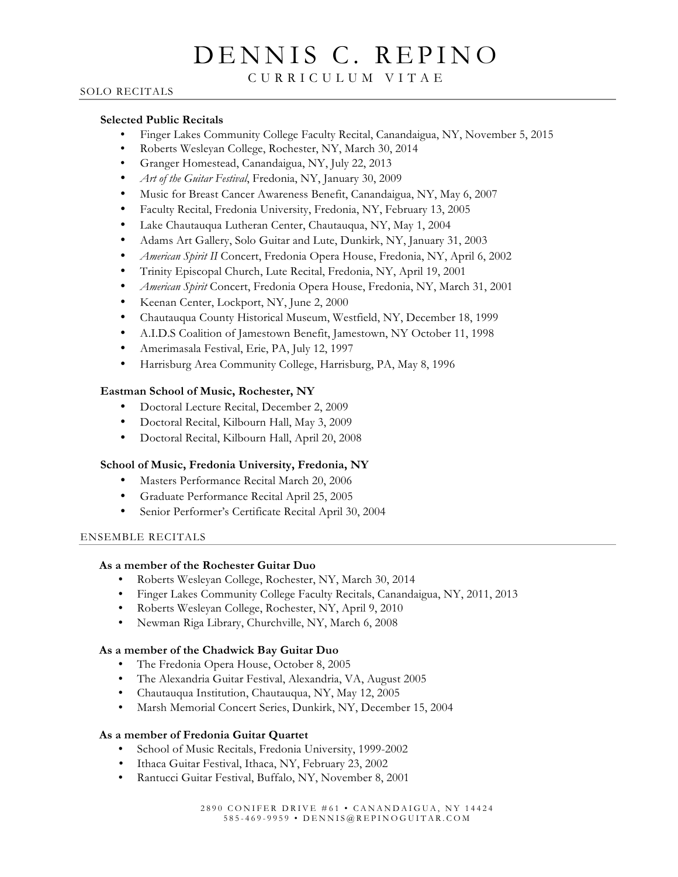# DENNIS C. REPINO

#### C URRICULUM VITAE

### SOLO RECITALS

#### **Selected Public Recitals**

- Finger Lakes Community College Faculty Recital, Canandaigua, NY, November 5, 2015
- Roberts Wesleyan College, Rochester, NY, March 30, 2014
- Granger Homestead, Canandaigua, NY, July 22, 2013
- *Art of the Guitar Festival*, Fredonia, NY, January 30, 2009
- Music for Breast Cancer Awareness Benefit, Canandaigua, NY, May 6, 2007
- Faculty Recital, Fredonia University, Fredonia, NY, February 13, 2005
- Lake Chautauqua Lutheran Center, Chautauqua, NY, May 1, 2004
- Adams Art Gallery, Solo Guitar and Lute, Dunkirk, NY, January 31, 2003
- *American Spirit II* Concert, Fredonia Opera House, Fredonia, NY, April 6, 2002
- Trinity Episcopal Church, Lute Recital, Fredonia, NY, April 19, 2001
- *American Spirit* Concert, Fredonia Opera House, Fredonia, NY, March 31, 2001
- Keenan Center, Lockport, NY, June 2, 2000
- Chautauqua County Historical Museum, Westfield, NY, December 18, 1999
- A.I.D.S Coalition of Jamestown Benefit, Jamestown, NY October 11, 1998
- Amerimasala Festival, Erie, PA, July 12, 1997
- Harrisburg Area Community College, Harrisburg, PA, May 8, 1996

#### **Eastman School of Music, Rochester, NY**

- Doctoral Lecture Recital, December 2, 2009
- Doctoral Recital, Kilbourn Hall, May 3, 2009
- Doctoral Recital, Kilbourn Hall, April 20, 2008

#### **School of Music, Fredonia University, Fredonia, NY**

- Masters Performance Recital March 20, 2006
- Graduate Performance Recital April 25, 2005
- Senior Performer's Certificate Recital April 30, 2004

#### ENSEMBLE RECITALS

#### **As a member of the Rochester Guitar Duo**

- Roberts Wesleyan College, Rochester, NY, March 30, 2014
- Finger Lakes Community College Faculty Recitals, Canandaigua, NY, 2011, 2013
- Roberts Wesleyan College, Rochester, NY, April 9, 2010
- Newman Riga Library, Churchville, NY, March 6, 2008

#### **As a member of the Chadwick Bay Guitar Duo**

- The Fredonia Opera House, October 8, 2005
- The Alexandria Guitar Festival, Alexandria, VA, August 2005
- Chautauqua Institution, Chautauqua, NY, May 12, 2005
- Marsh Memorial Concert Series, Dunkirk, NY, December 15, 2004

#### **As a member of Fredonia Guitar Quartet**

- School of Music Recitals, Fredonia University, 1999-2002
- Ithaca Guitar Festival, Ithaca, NY, February 23, 2002
- Rantucci Guitar Festival, Buffalo, NY, November 8, 2001